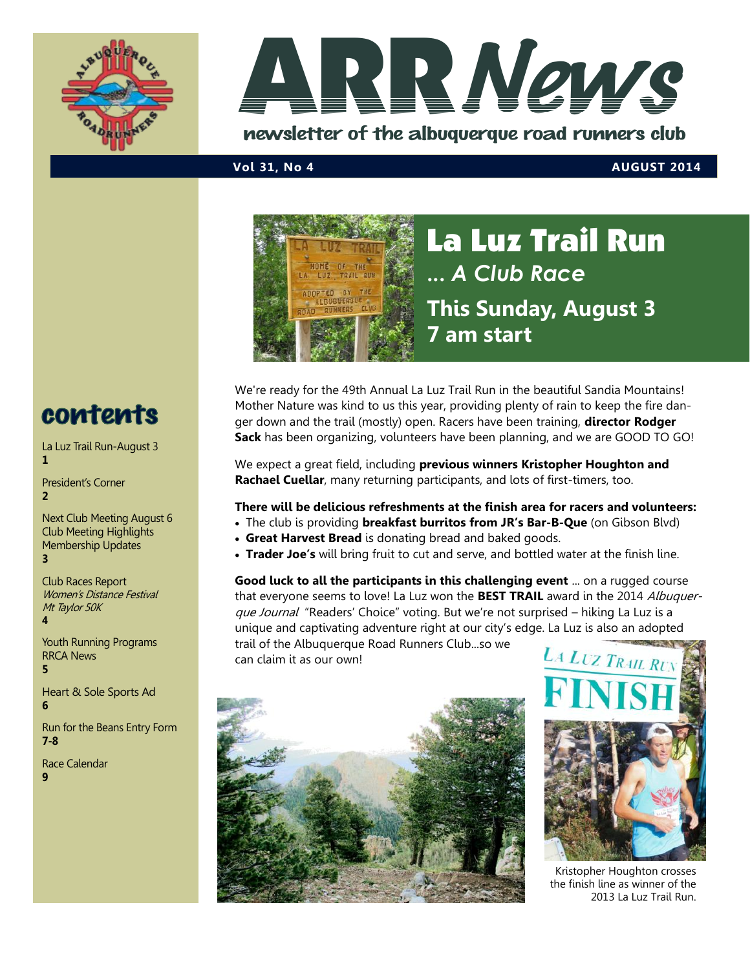



newsletter of the albuquerque road runners club

#### **Vol 31, No 4 AUGUST 2014**



La Luz Trail Run **...** *A Club Race* **This Sunday, August 3 7 7 am start**

We're ready for the 49th Annual La Luz Trail Run in the beautiful Sandia Mountains! Mother Nature was kind to us this year, providing plenty of rain to keep the fire danger down and the trail (mostly) open. Racers have been training, **director Rodger Sack** has been organizing, volunteers have been planning, and we are GOOD TO GO!

We expect a great field, including **previous winners Kristopher Houghton and Rachael Cuellar**, many returning participants, and lots of first-timers, too.

#### **There will be delicious refreshments at the finish area for racers and volunteers:**

- The club is providing **breakfast burritos from JR's Bar-B-Que** (on Gibson Blvd)
	- **Great Harvest Bread** is donating bread and baked goods.
	- **Trader Joe's** will bring fruit to cut and serve, and bottled water at the finish line.

**Good luck to all the participants in this challenging event** ... on a rugged course that everyone seems to love! La Luz won the **BEST TRAIL** award in the 2014 Albuquerque Journal "Readers' Choice" voting. But we're not surprised - hiking La Luz is a unique and captivating adventure right at our city's edge. La Luz is also an adopted

trail of the Albuquerque Road Runners Club...so we can claim it as our own!





Kristopher Houghton crosses the finish line as winner of the 2013 La Luz Trail Run.

## contents

La Luz Trail Run-August 3 **1**

President's Corner **2**

Next Club Meeting August 6 Club Meeting Highlights Membership Updates **3**

Club Races Report Women's Distance Festival Mt Taylor 50K **4**

Youth Running Programs RRCA News **5**

Heart & Sole Sports Ad **6**

Run for the Beans Entry Form **7-8**

Race Calendar **9**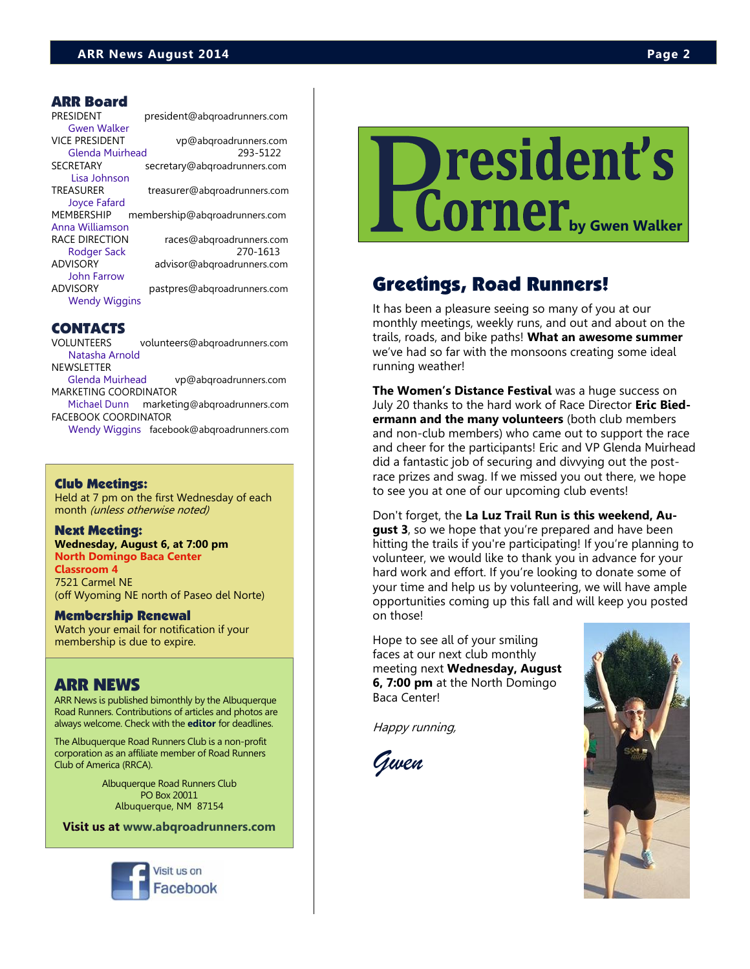#### ARR Board

| <b>PRESIDENT</b>      | president@abgroadrunners.com  |
|-----------------------|-------------------------------|
| <b>Gwen Walker</b>    |                               |
| <b>VICE PRESIDENT</b> | vp@abgroadrunners.com         |
| Glenda Muirhead       | 293-5122                      |
| <b>SECRETARY</b>      | secretary@abgroadrunners.com  |
| Lisa Johnson          |                               |
| <b>TREASURER</b>      | treasurer@abgroadrunners.com  |
| Joyce Fafard          |                               |
| <b>MEMBERSHIP</b>     | membership@abgroadrunners.com |
| Anna Williamson       |                               |
| RACE DIRECTION        | races@abgroadrunners.com      |
| Rodger Sack           | 270-1613                      |
| <b>ADVISORY</b>       | advisor@abgroadrunners.com    |
| John Farrow           |                               |
| <b>ADVISORY</b>       | pastpres@abgroadrunners.com   |
| <b>Wendy Wiggins</b>  |                               |
|                       |                               |

#### CONTACTS

VOLUNTEERS volunteers@abqroadrunners.com [Natasha Arnold](mailto:volunteers@abqroadrunners.com) **NEWSLETTER** 

[Glenda Muirhead](mailto:vp@abqroadrunners.com) vp@abqroadrunners.com MARKETING COORDINATOR

[Michael Dunn](mailto:marketing@abqroadrunners.com) marketing@abqroadrunners.com FACEBOOK COORDINATOR

[Wendy Wiggins](mailto:facebook@abqroadrunners.com) facebook@abqroadrunners.com

#### Club Meetings:

Held at 7 pm on the first Wednesday of each month (unless otherwise noted)

#### Next Meeting:

**Wednesday, August 6, at 7:00 pm North Domingo Baca Center Classroom 4** 7521 Carmel NE

(off Wyoming NE north of Paseo del Norte)

#### Membership Renewal

Watch your email for notification if your membership is due to expire.

#### ARR NEWS

ARR News is published bimonthly by the Albuquerque Road Runners. Contributions of articles and photos are always welcome. Check with the **[editor](mailto:vp@abqroadrunners.com?subject=ARR%20Newsletter)** for deadlines.

The Albuquerque Road Runners Club is a non-profit corporation as an affiliate member of Road Runners Club of America (RRCA).

> Albuquerque Road Runners Club PO Box 20011 Albuquerque, NM 87154

**Visit us at [www.abqroadrunners.com](http://www.abqroadrunners.com)**



## resident's **by Gwen Walker**

### Greetings, Road Runners!

It has been a pleasure seeing so many of you at our monthly meetings, weekly runs, and out and about on the trails, roads, and bike paths! **What an awesome summer**  we've had so far with the monsoons creating some ideal running weather!

**The Women's Distance Festival** was a huge success on July 20 thanks to the hard work of Race Director **Eric Biedermann and the many volunteers** (both club members and non-club members) who came out to support the race and cheer for the participants! Eric and VP Glenda Muirhead did a fantastic job of securing and divvying out the postrace prizes and swag. If we missed you out there, we hope to see you at one of our upcoming club events!

Don't forget, the **La Luz Trail Run is this weekend, August 3**, so we hope that you're prepared and have been hitting the trails if you're participating! If you're planning to volunteer, we would like to thank you in advance for your hard work and effort. If you're looking to donate some of your time and help us by volunteering, we will have ample opportunities coming up this fall and will keep you posted on those!

Hope to see all of your smiling faces at our next club monthly meeting next **Wednesday, August 6, 7:00 pm** at the North Domingo Baca Center!

Happy running,

*Gwen*

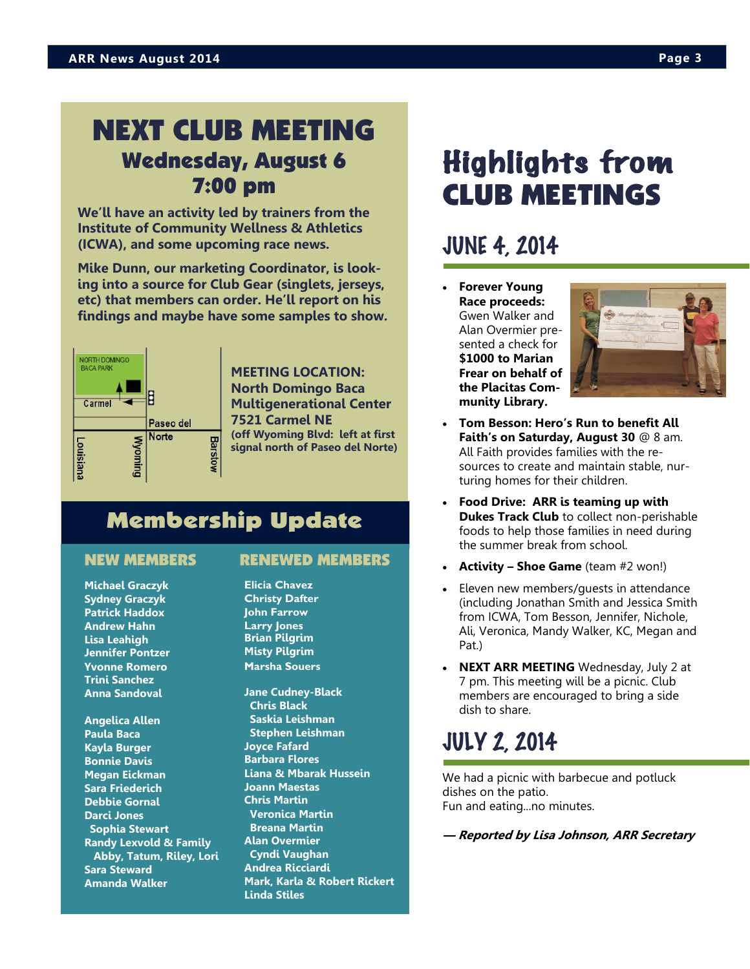### NEXT CLUB MEETING Wednesday, August 6 7:00 pm

**We'll have an activity led by trainers from the Institute of Community Wellness & Athletics (ICWA), and some upcoming race news.**

**Mike Dunn, our marketing Coordinator, is looking into a source for Club Gear (singlets, jerseys, etc) that members can order. He'll report on his findings and maybe have some samples to show.**



**MEETING LOCATION: North Domingo Baca Multigenerational Center 7521 Carmel NE (off Wyoming Blvd: left at first signal north of Paseo del Norte)** 

### Membership Update

**Michael Graczyk Sydney Graczyk Patrick Haddox Andrew Hahn Lisa Leahigh Jennifer Pontzer Yvonne Romero Trini Sanchez Anna Sandoval**

**Angelica Allen Paula Baca Kayla Burger Bonnie Davis Megan Eickman Sara Friederich Debbie Gornal Darci Jones Sophia Stewart Randy Lexvold & Family Abby, Tatum, Riley, Lori Sara Steward Amanda Walker**

#### NEW MEMBERS RENEWED MEMBERS

- **Elicia Chavez Christy Dafter John Farrow Larry Jones Brian Pilgrim Misty Pilgrim Marsha Souers**
- **Jane Cudney-Black Chris Black Saskia Leishman Stephen Leishman Joyce Fafard Barbara Flores Liana & Mbarak Hussein Joann Maestas Chris Martin Veronica Martin Breana Martin Alan Overmier Cyndi Vaughan Andrea Ricciardi Mark, Karla & Robert Rickert Linda Stiles**

## Highlights from CLUB MEETINGS

### JUNE 4, 2014

 **Forever Young Race proceeds:**  Gwen Walker and Alan Overmier presented a check for **\$1000 to Marian Frear on behalf of the Placitas Community Library.** 



- **Tom Besson: Hero's Run to benefit All Faith's on Saturday, August 30** @ 8 am. All Faith provides families with the resources to create and maintain stable, nurturing homes for their children.
- **Food Drive: ARR is teaming up with Dukes Track Club** to collect non-perishable foods to help those families in need during the summer break from school.
- **Activity – Shoe Game** (team #2 won!)
- Eleven new members/guests in attendance (including Jonathan Smith and Jessica Smith from ICWA, Tom Besson, Jennifer, Nichole, Ali, Veronica, Mandy Walker, KC, Megan and Pat.)
- **NEXT ARR MEETING** Wednesday, July 2 at 7 pm. This meeting will be a picnic. Club members are encouraged to bring a side dish to share.

## JULY 2, 2014

We had a picnic with barbecue and potluck dishes on the patio. Fun and eating...no minutes.

**— Reported by Lisa Johnson, ARR Secretary**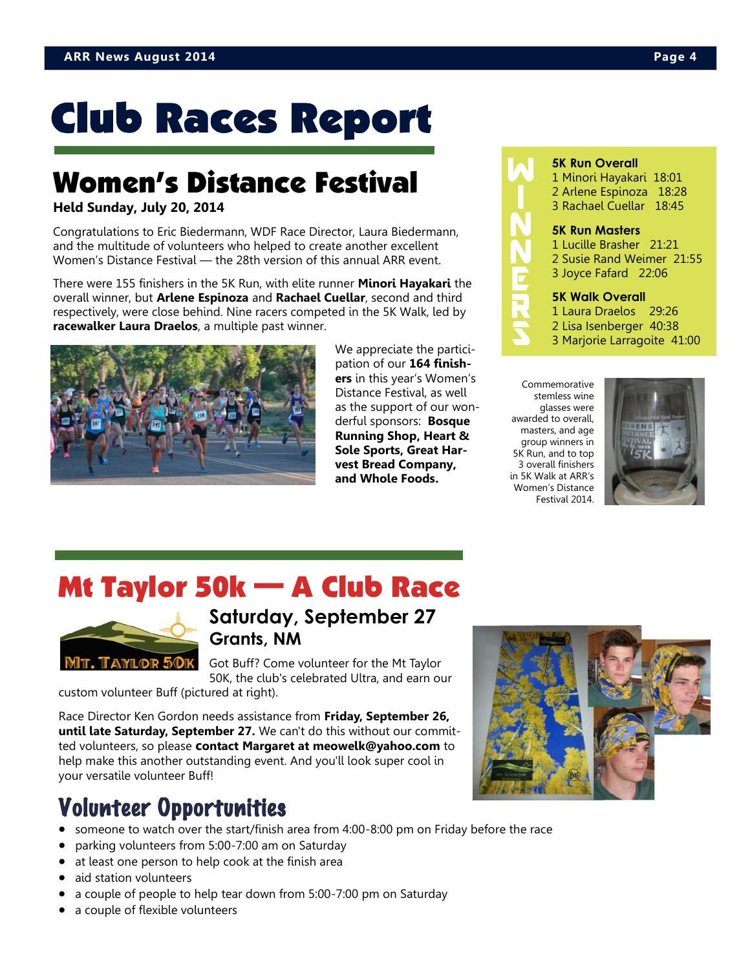## **Club Races Report**

## Women's Distance Festival

#### **Held Sunday, July 20, 2014**

Congratulations to Eric Biedermann, WDF Race Director, Laura Biedermann, and the multitude of volunteers who helped to create another excellent Women's Distance Festival — the 28th version of this annual ARR event.

There were 155 finishers in the 5K Run, with elite runner **Minori Hayakari** the overall winner, but **Arlene Espinoza** and **Rachael Cuellar**, second and third respectively, were close behind. Nine racers competed in the 5K Walk, led by **racewalker Laura Draelos**, a multiple past winner.



We appreciate the participation of our **164 finishers** in this year's Women's Distance Festival, as well as the support of our wonderful sponsors: **Bosque Running Shop, Heart & Sole Sports, Great Harvest Bread Company, and Whole Foods.**



#### **5K Run Overall**

1 Minori Hayakari 18:01 2 Arlene Espinoza 18:28 3 Rachael Cuellar 18:45

#### **5K Run Masters**

1 Lucille Brasher 21:21 2 Susie Rand Weimer 21:55 3 Joyce Fafard 22:06

#### **5K Walk Overall**

- 1 Laura Draelos 29:26
- 2 Lisa Isenberger 40:38
- 3 Marjorie Larragoite 41:00

Commemorative stemless wine glasses were awarded to overall, masters, and age group winners in 5K Run, and to top 3 overall finishers in 5K Walk at ARR's Women's Distance Festival 2014.



## Mt Taylor 50k — A Club Race



### **Saturday, September 27 Grants, NM**

Got Buff? Come volunteer for the Mt Taylor 50K, the club's celebrated Ultra, and earn our

custom volunteer Buff (pictured at right).

Race Director Ken Gordon needs assistance from **Friday, September 26, until late Saturday, September 27.** We can't do this without our committed volunteers, so please **contact Margaret at meowelk@yahoo.com** to help make this another outstanding event. And you'll look super cool in your versatile volunteer Buff!

## Volunteer Opportunities

- someone to watch over the start/finish area from 4:00-8:00 pm on Friday before the race
- parking volunteers from 5:00-7:00 am on Saturday
- at least one person to help cook at the finish area
- aid station volunteers
- a couple of people to help tear down from 5:00-7:00 pm on Saturday
- a couple of flexible volunteers

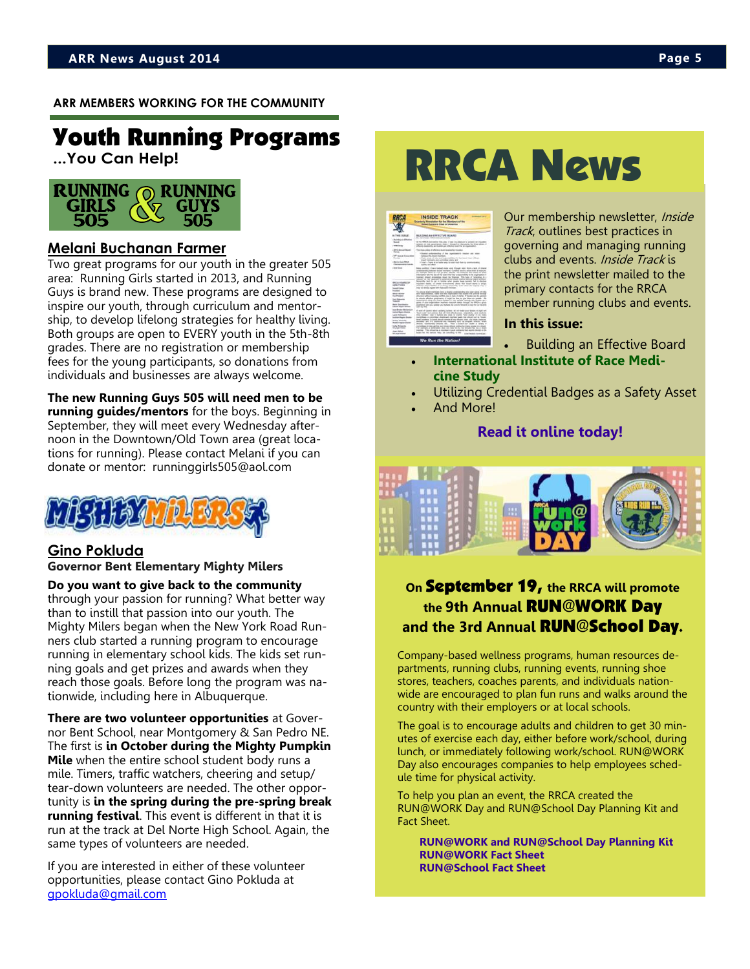#### **ARR MEMBERS WORKING FOR THE COMMUNITY**

## Youth Running Programs

**...You Can Help!**



#### **Melani Buchanan Farmer**

Two great programs for our youth in the greater 505 area: Running Girls started in 2013, and Running Guys is brand new. These programs are designed to inspire our youth, through curriculum and mentorship, to develop lifelong strategies for healthy living. Both groups are open to EVERY youth in the 5th-8th grades. There are no registration or membership fees for the young participants, so donations from individuals and businesses are always welcome.

**The new Running Guys 505 will need men to be running guides/mentors** for the boys. Beginning in September, they will meet every Wednesday afternoon in the Downtown/Old Town area (great locations for running). Please contact Melani if you can donate or mentor: runninggirls505@aol.com



### **Gino Pokluda**

**Governor Bent Elementary Mighty Milers**

**Do you want to give back to the community**  through your passion for running? What better way than to instill that passion into our youth. The Mighty Milers began when the New York Road Runners club started a running program to encourage running in elementary school kids. The kids set running goals and get prizes and awards when they reach those goals. Before long the program was nationwide, including here in Albuquerque.

**There are two volunteer opportunities** at Governor Bent School, near Montgomery & San Pedro NE. The first is **in October during the Mighty Pumpkin Mile** when the entire school student body runs a mile. Timers, traffic watchers, cheering and setup/ tear-down volunteers are needed. The other opportunity is **in the spring during the pre-spring break running festival**. This event is different in that it is run at the track at Del Norte High School. Again, the same types of volunteers are needed.

If you are interested in either of these volunteer opportunities, please contact Gino Pokluda at [gpokluda@gmail.com](mailto:gpokluda@gmail.com)

## RRCA News



Our membership newsletter, Inside Track, outlines best practices in governing and managing running clubs and events. Inside Track is the print newsletter mailed to the primary contacts for the RRCA member running clubs and events.

#### **In this issue:**

Building an Effective Board

- **[International Institute of Race Medi](http://r20.rs6.net/tn.jsp?f=001L0cG7tiK7LtkraUOxzZSgQLiCVX3EalOTvRbXKjHiuoXolA8YZYSAhoK1ElvOk-T7tWtEhH7m3qHOP599VqPZTUuWNxcDf4s0ZnH98mVr6ERXUTEZ2-jYDuEjsw-_BPEhcUrees0OdaCnJyFfmCeReLHlkdFWE1UR_1kDViKTUCFqALlbcF_hWGt44OxdkxKyZVdMNUuWKUISRjrYK6VaIuy5M__jDArlIEj)[cine Study](http://r20.rs6.net/tn.jsp?f=001L0cG7tiK7LtkraUOxzZSgQLiCVX3EalOTvRbXKjHiuoXolA8YZYSAhoK1ElvOk-T7tWtEhH7m3qHOP599VqPZTUuWNxcDf4s0ZnH98mVr6ERXUTEZ2-jYDuEjsw-_BPEhcUrees0OdaCnJyFfmCeReLHlkdFWE1UR_1kDViKTUCFqALlbcF_hWGt44OxdkxKyZVdMNUuWKUISRjrYK6VaIuy5M__jDArlIEj)**
- Utilizing Credential Badges as a Safety Asset
- And More!

#### **[Read it online today!](http://issuu.com/rrcaexecdir/docs/rrca_2014_it.summer.final/1?e=1583553/8794815)**



#### **On** September 19, **the RRCA will promote the 9th Annual** RUN@WORK Day **and the 3rd Annual** RUN@School Day.

Company-based wellness programs, human resources departments, running clubs, running events, running shoe stores, teachers, coaches parents, and individuals nationwide are encouraged to plan fun runs and walks around the country with their employers or at local schools.

The goal is to encourage adults and children to get 30 minutes of exercise each day, either before work/school, during lunch, or immediately following work/school. RUN@WORK Day also encourages companies to help employees schedule time for physical activity.

To help you plan an event, the RRCA created the RUN@WORK Day and RUN@School Day Planning Kit and Fact Sheet.

**[RUN@WORK and RUN@School Day Planning Kit](http://www.rrca.org/programs/run-at-work-day/planning-kit/) [RUN@WORK Fact Sheet](http://www.rrca.org/downloads/about/2014_Run_at_Work_Fact_Sheet.pdf) [RUN@School Fact Sheet](http://www.rrca.org/downloads/about/2014_Run_at_School_Fact_Sheet.pdf)**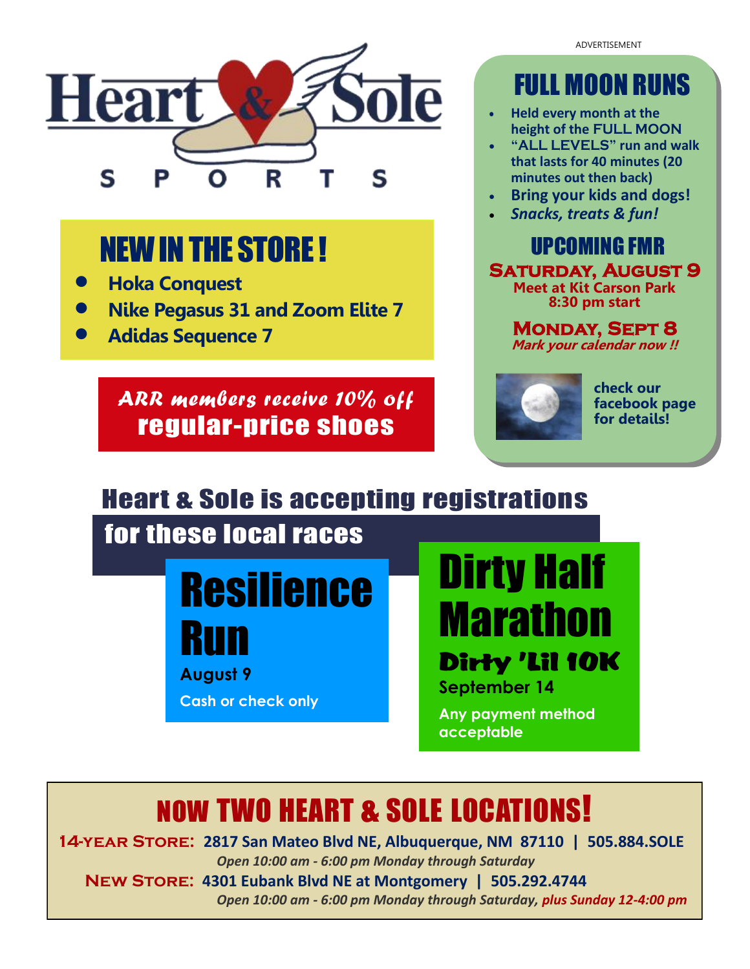ADVERTISEMENT



## NEW IN THE STORE !

- **Hoka Conquest**
- **Nike Pegasus 31 and Zoom Elite 7**
- **Adidas Sequence 7**

*ARR members receive 10% off*  regular-price shoes

## FULL MOON RUNS

- **Held every month at the height of the FULL MOON**
- **"ALL LEVELS" run and walk that lasts for 40 minutes (20 minutes out then back)**
- **Bring your kids and dogs!**
- *Snacks, treats & fun!*

UPCOMING FMR **Saturday, August 9 Meet at Kit Carson Park 8:30 pm start**

**Monday, Sept 8 Mark your calendar now !!**



**check our facebook page for details!**

## Heart & Sole is accepting registrations

## for these local races



**August 9**

**Cash or check only**

Dirty Half Marathon Dirty 'Lil 10K **September 14** 

**Any payment method acceptable**

## NOW TWO HEART & SOLE LOCATIONS!

**14-year Store: 2817 San Mateo Blvd NE, Albuquerque, NM 87110 | 505.884.SOLE**  *Open 10:00 am - 6:00 pm Monday through Saturday*

 **New Store: 4301 Eubank Blvd NE at Montgomery | 505.292.4744**

 *Open 10:00 am - 6:00 pm Monday through Saturday, plus Sunday 12-4:00 pm*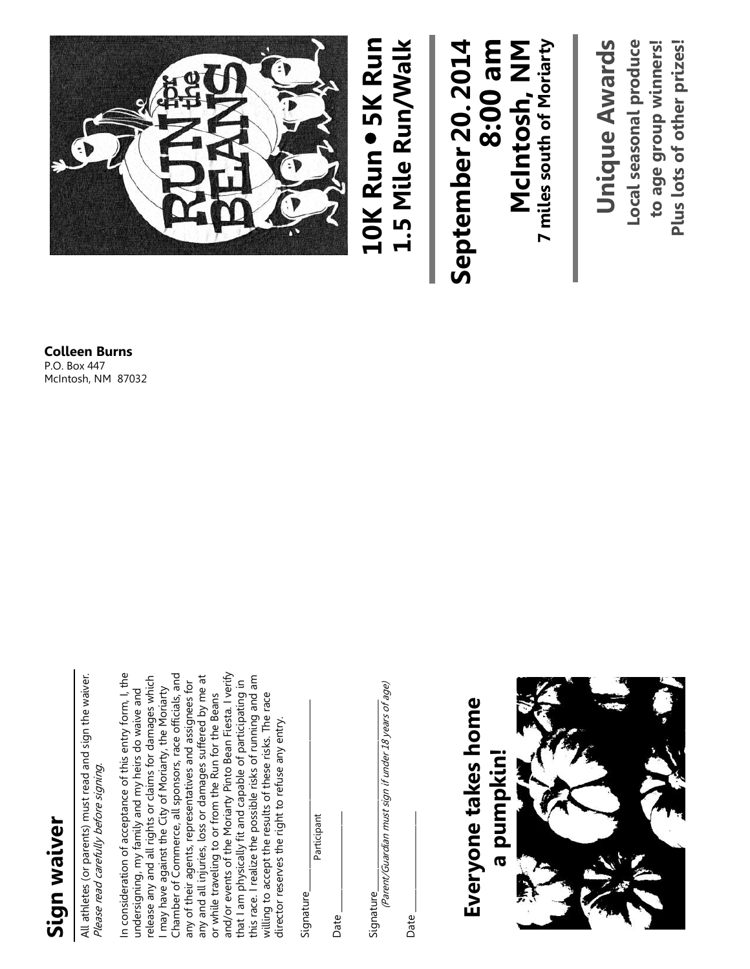# **Sign waiver**

All athletes (or parents) must read and sign the waiver. All athletes (or parents) must read and sign the waiver. Please read carefully before signing. Please read carefully before signing.

and/or events of the Moriarty Pinto Bean Fiesta. I verify In consideration of acceptance of this entry form, I, the Chamber of Commerce, all sponsors, race officials, and any and all injuries, loss or damages suffered by me at this race. I realize the possible risks of running and am In consideration of acceptance of this entry form, I, the release any and all rights or claims for damages which release any and all rights or claims for damages which Chamber of Commerce, all sponsors, race officials, and and/or events of the Moriarty Pinto Bean Fiesta. I verify this race. I realize the possible risks of running and am any and all injuries, loss or damages suffered by me at any of their agents, representatives and assignees for that I am physically fit and capable of participating in that I am physically fit and capable of participating in any of their agents, representatives and assignees for I may have against the City of Moriarty, the Moriarty undersigning, my family and my heirs do waive and may have against the City of Moriarty, the Moriarty undersigning, my family and my heirs do waive and or while traveling to or from the Run for the Beans or while traveling to or from the Run for the Beans willing to accept the results of these risks. The race willing to accept the results of these risks. The race director reserves the right to refuse any entry. director reserves the right to refuse any entry.

Signature\_\_\_\_\_\_\_\_\_\_\_\_\_\_\_\_\_\_\_\_\_\_\_\_\_\_\_\_\_\_\_\_\_\_\_\_\_\_\_\_\_\_ Signature

 $Date \_$ Date

Participant

Signature

(Parent/Guardian must sign if under 18 years of age) (Parent/Guardian must sign if under 18 years of age)  ${\sf Signature}$ 

 $Date \_$ Date

**Everyone takes home**  Everyone takes home **a pumpkin!**a pumpkin!

**Colleen Burns**

P.O. Box 447 McIntosh, NM 87032

## 1.5 Mile Run/Walk **1.5 Mile Run/Walk** September 20. 2014 **September 20. 2014 8:00 am**

**7 miles south of Moriarty Unique Awards McIntosh, NM**<br>7 miles south of Moriarty **Unique Awards**

Local seasonal produce to age group winners! Plus lots of other prizes! **Local seasonal produce to age group winners! Plus lots of other prizes!**

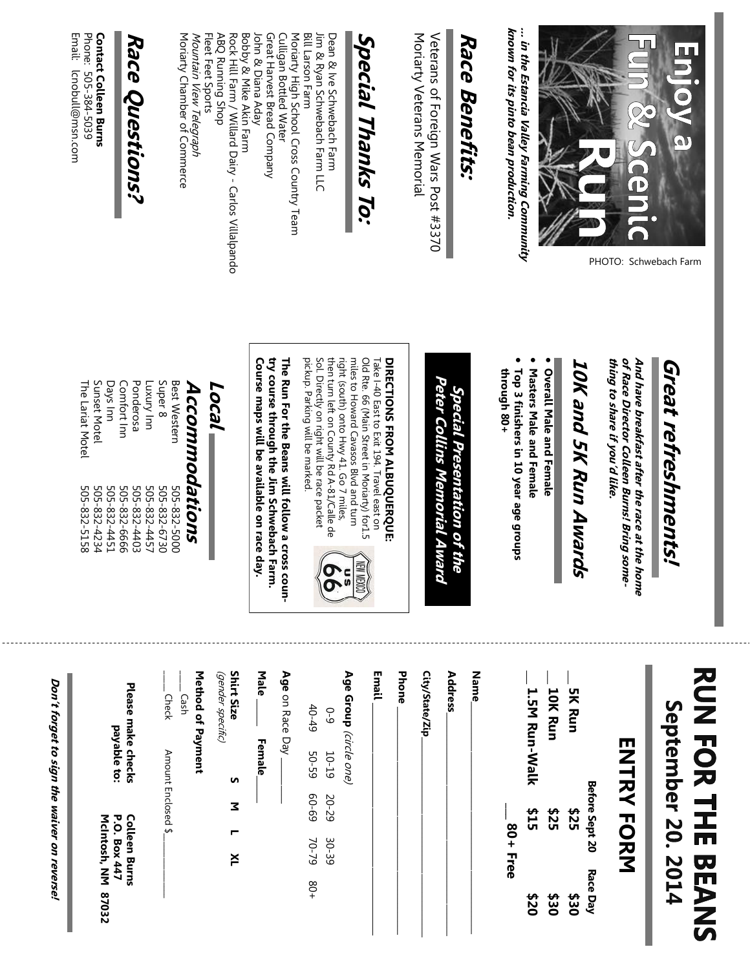

PHOTO: Schwebach Farm

**known for its pinto bean production.** ... in the Estancia Valley Farming Community **… in the Estancia Valley Farming Community**  known for its pinto bean production.

## Race Benefits: **Race Benefits:**

Moriarty Veterans Memorial Veterans of Foreign Wars Post #3370 Veterans of Foreign Wars Post #3370 Moriarty Veterans Memorial

## Special Thanks To: **Special Thanks To:**

Fleet Feet Sports ABQ Running Shop Rock Hill Farm / Willard Dairy - Carlos Villalpando Bobby & Mike Akin Farm Great Harvest Bread Company Moriarty High School Cross Country Team **Bill Larson Farm** Dean & Ive Schwebach Farm Moriarty Chamber of Commerce ABQ Running Shop John & Diana Aday John & Diana Aday Culligan Bottled Water Jim & Ryan Schwebach Farm LLC Mountain View Telegraph Mountain View Telegraph Fleet Feet Sports Rock Hill Farm / Willard Dairy Bobby & Mike Akin Farm Great Harvest Bread Company Culligan Bottled Water Moriarty High School Cross Country Team Bill Larson Farm Jim & Ryan Schwebach Farm LLC Dean & Ive Schwebach Farm Carlos Villalpando

## **Race Questions?**  Race Questions?

Moriarty Chamber of Commerce

Email: Icnobull@msn.com Phone: 505-384-5039 **Contact Colleen Burns Contact Colleen Burns** Email: lcnobull@msn.com Phone: 505 -384-5039

# **Great refreshments!**  Great refreshments!

of Race Director Colleen Burns! Bring something to share if you'd like. **thing to share if you'd like. of Race Director Colleen Burns! Bring some-**And have breakfast after the race at the home **And have breakfast after the race at the home** 

# **10K and 5K Run Awards** 10K and 5K Run Awards

• Overall Male and Female **Overall Male and Female**

- Nasters Male and Fernale **Masters Male and Female**
- · Top 3 finishers in 10 year age groups through 80+ **through 80+ Top 3 finishers in 10 year age groups**

## **Peter Collins Memorial Award** Peter Collins Memorial Award Special **Special Presentation of the**  Presentation of the

## DIRECTIONS FROM ALBUQUERQUE: **DIRECTIONS FROM ALBUQUERQUE:**

Sol. Directly on right will be race packet miles to Howard Cavasos Blvd and turn Old Rte. 66 (Main Street in Moriarty) for1.5 pickup. Parking will be marked. pickup. Parking will be marked. Sol. Directly on right will be race packet then turn left on County Rd A right (south) onto Hwy 41. Go 7 miles, miles to Howard Cavasos Blvd and turn Old Rte. 66 (Main Street in Moriarty) for1.5 then turn left on County Rd A-81/Calle de right (south) onto Hwy 41. Go 7 miles, Take I-40 East to Exit 194. Travel east on  $-40$  East to Exit 194. Travel east on -81/Calle de



Course maps will be available on race day. **Course maps will be available on race day.** try course through the Jim Schwebach Farm. **try course through the Jim Schwebach Farm.**  The Run For the Beans will follow a cross coun-**The Run For the Beans will follow a cross coun-**

## **Accommodations Local**

**Best Western** The Lariat Motel The Lariat Motel 505-832-5158 Sunset Motel Sunset Motel 505-832-4234 Days Inn Days Inn 505-832-4451 Comfort Inn Comfort Inn 505-832-6666 Ponderosa Ponderosa Luxury Inn 505-832-4457 Super 8 505-832-6730 Best Western uu /unxn] Super 8 Accommodations 505-832-5158 505-832-4234 505-832-4451 505-832-6666 505-832-4403 505-832-4457 505-832-6730 505-832-500C 505-832-4403 505-832-5000

\_\_\_\_\_ Check Amount Enclosed \$\_\_\_\_\_\_\_\_\_\_\_\_\_\_\_\_

Amount Enclosed \$.

- Check Cash

**Please make checks Colleen Burns**

Please make checks

**payable to:** 

payable to:

**McIntosh, NM 87032**

McIntosh, NM 87032

**P.O. Box 447**

P.O. Box 447 **Colleen Burns**   $\overline{\phantom{0}}$  Cash

**Method of Payment** 

Method of Payment

(gender specific)

**Shirt Size** (gender specific)

S

Σ

×

# **RUN FOR THE BEANS** September 20. 2014

## **ENTRY FORM ENTRY FORM**

|                        |               | Before Sept 20 |            | Race Day    |  |
|------------------------|---------------|----------------|------------|-------------|--|
| <b>SK Run</b>          |               | <b>\$25</b>    |            | \$30        |  |
| 10K Run                |               | \$25           |            | <b>\$30</b> |  |
|                        | 1.5M Run-Walk | \$15           |            | \$20        |  |
|                        |               |                | $80+$ Free |             |  |
| <b>Name</b>            |               |                |            |             |  |
| <b>Address</b>         |               |                |            |             |  |
| City/State/Zip         |               |                |            |             |  |
| <b>Phone</b>           |               |                |            |             |  |
| Email                  |               |                |            |             |  |
| Age Group (circle one) |               |                |            |             |  |
| $0 - 9$                | 10-19         | 20-29          | 30-39      |             |  |
| $40 - 49$              | <b>50-59</b>  | 69-09          | 70-79      | $+08$       |  |
| Age on Race Day        |               |                |            |             |  |
| Male                   | Female        |                |            |             |  |
| <b>Shirt Size</b>      | n             | Σ              | ┍<br>ž     |             |  |

Don't forget to sign the waiver on reverse! **Don't forget to sign the waiver on reverse!**